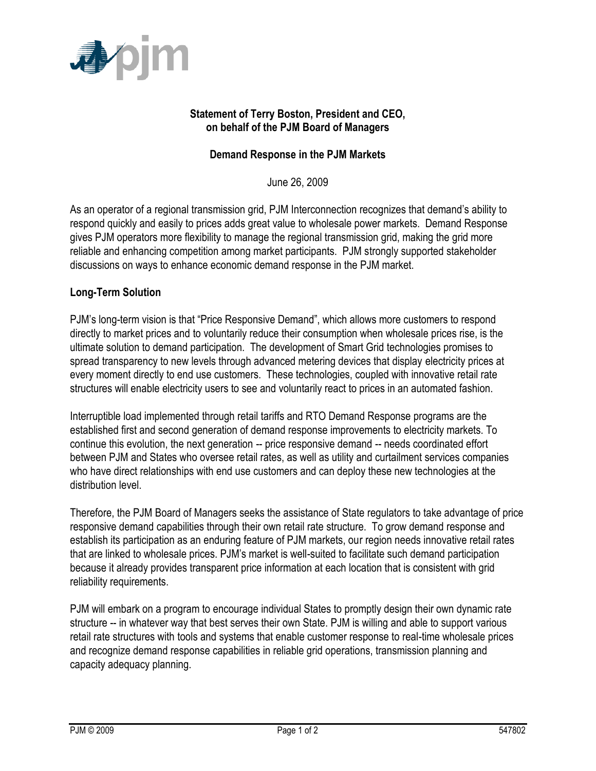

## **Statement of Terry Boston, President and CEO, on behalf of the PJM Board of Managers**

## **Demand Response in the PJM Markets**

June 26, 2009

As an operator of a regional transmission grid, PJM Interconnection recognizes that demand's ability to respond quickly and easily to prices adds great value to wholesale power markets. Demand Response gives PJM operators more flexibility to manage the regional transmission grid, making the grid more reliable and enhancing competition among market participants. PJM strongly supported stakeholder discussions on ways to enhance economic demand response in the PJM market.

## **Long-Term Solution**

PJM's long-term vision is that "Price Responsive Demand", which allows more customers to respond directly to market prices and to voluntarily reduce their consumption when wholesale prices rise, is the ultimate solution to demand participation. The development of Smart Grid technologies promises to spread transparency to new levels through advanced metering devices that display electricity prices at every moment directly to end use customers. These technologies, coupled with innovative retail rate structures will enable electricity users to see and voluntarily react to prices in an automated fashion.

Interruptible load implemented through retail tariffs and RTO Demand Response programs are the established first and second generation of demand response improvements to electricity markets. To continue this evolution, the next generation -- price responsive demand -- needs coordinated effort between PJM and States who oversee retail rates, as well as utility and curtailment services companies who have direct relationships with end use customers and can deploy these new technologies at the distribution level.

Therefore, the PJM Board of Managers seeks the assistance of State regulators to take advantage of price responsive demand capabilities through their own retail rate structure. To grow demand response and establish its participation as an enduring feature of PJM markets, our region needs innovative retail rates that are linked to wholesale prices. PJM's market is well-suited to facilitate such demand participation because it already provides transparent price information at each location that is consistent with grid reliability requirements.

PJM will embark on a program to encourage individual States to promptly design their own dynamic rate structure -- in whatever way that best serves their own State. PJM is willing and able to support various retail rate structures with tools and systems that enable customer response to real-time wholesale prices and recognize demand response capabilities in reliable grid operations, transmission planning and capacity adequacy planning.